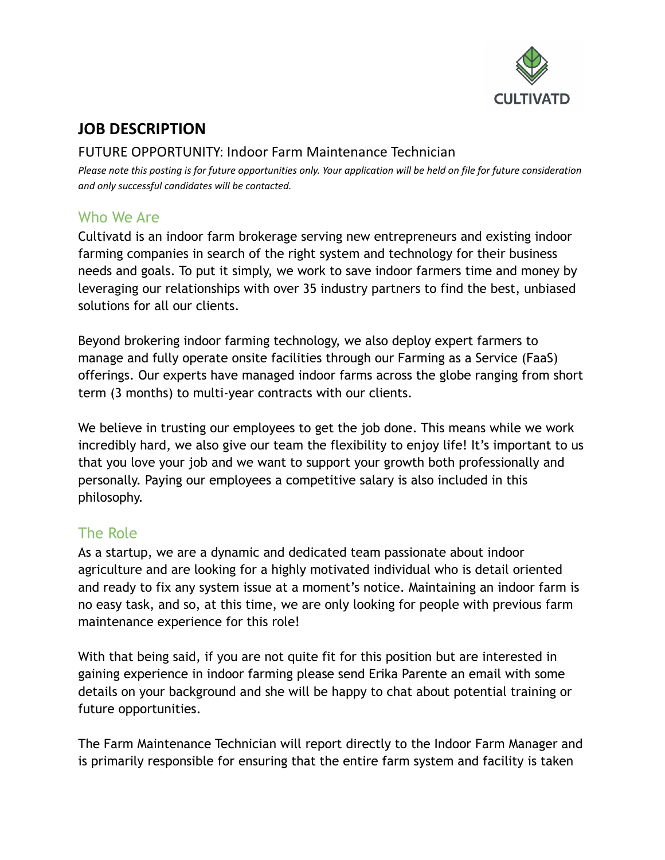

# **JOB DESCRIPTION**

### FUTURE OPPORTUNITY: Indoor Farm Maintenance Technician

Please note this posting is for future opportunities only. Your application will be held on file for future consideration *and only successful candidates will be contacted.*

### Who We Are

Cultivatd is an indoor farm brokerage serving new entrepreneurs and existing indoor farming companies in search of the right system and technology for their business needs and goals. To put it simply, we work to save indoor farmers time and money by leveraging our relationships with over 35 industry partners to find the best, unbiased solutions for all our clients.

Beyond brokering indoor farming technology, we also deploy expert farmers to manage and fully operate onsite facilities through our Farming as a Service (FaaS) offerings. Our experts have managed indoor farms across the globe ranging from short term (3 months) to multi-year contracts with our clients.

We believe in trusting our employees to get the job done. This means while we work incredibly hard, we also give our team the flexibility to enjoy life! It's important to us that you love your job and we want to support your growth both professionally and personally. Paying our employees a competitive salary is also included in this philosophy.

## The Role

As a startup, we are a dynamic and dedicated team passionate about indoor agriculture and are looking for a highly motivated individual who is detail oriented and ready to fix any system issue at a moment's notice. Maintaining an indoor farm is no easy task, and so, at this time, we are only looking for people with previous farm maintenance experience for this role!

With that being said, if you are not quite fit for this position but are interested in gaining experience in indoor farming please send Erika Parente an email with some details on your background and she will be happy to chat about potential training or future opportunities.

The Farm Maintenance Technician will report directly to the Indoor Farm Manager and is primarily responsible for ensuring that the entire farm system and facility is taken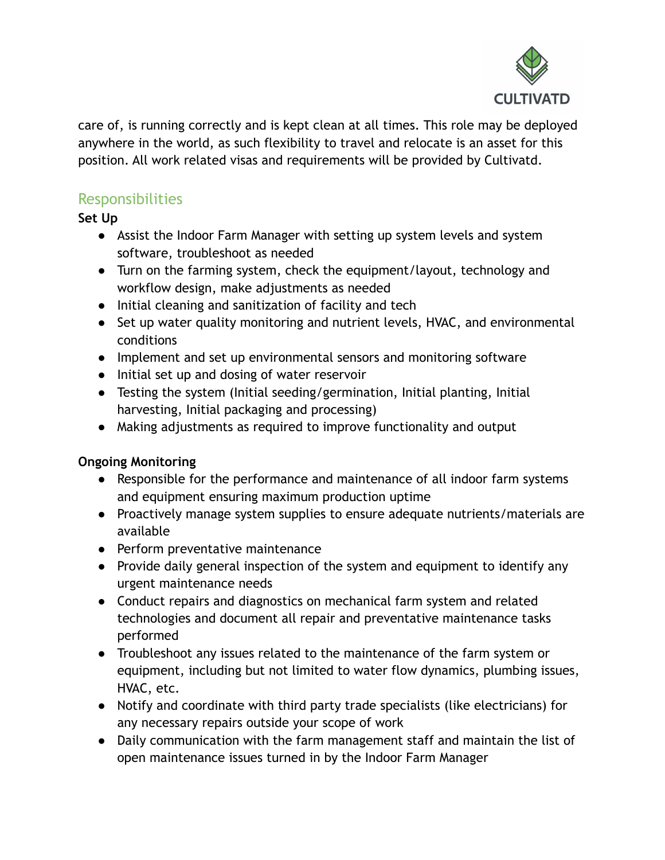

care of, is running correctly and is kept clean at all times. This role may be deployed anywhere in the world, as such flexibility to travel and relocate is an asset for this position. All work related visas and requirements will be provided by Cultivatd.

## **Responsibilities**

**Set Up**

- Assist the Indoor Farm Manager with setting up system levels and system software, troubleshoot as needed
- Turn on the farming system, check the equipment/layout, technology and workflow design, make adjustments as needed
- Initial cleaning and sanitization of facility and tech
- Set up water quality monitoring and nutrient levels, HVAC, and environmental conditions
- Implement and set up environmental sensors and monitoring software
- Initial set up and dosing of water reservoir
- Testing the system (Initial seeding/germination, Initial planting, Initial harvesting, Initial packaging and processing)
- Making adjustments as required to improve functionality and output

#### **Ongoing Monitoring**

- Responsible for the performance and maintenance of all indoor farm systems and equipment ensuring maximum production uptime
- Proactively manage system supplies to ensure adequate nutrients/materials are available
- Perform preventative maintenance
- Provide daily general inspection of the system and equipment to identify any urgent maintenance needs
- Conduct repairs and diagnostics on mechanical farm system and related technologies and document all repair and preventative maintenance tasks performed
- Troubleshoot any issues related to the maintenance of the farm system or equipment, including but not limited to water flow dynamics, plumbing issues, HVAC, etc.
- Notify and coordinate with third party trade specialists (like electricians) for any necessary repairs outside your scope of work
- Daily communication with the farm management staff and maintain the list of open maintenance issues turned in by the Indoor Farm Manager